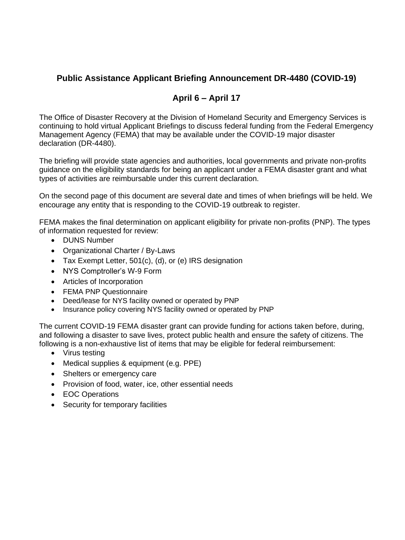## **Public Assistance Applicant Briefing Announcement DR-4480 (COVID-19)**

## **April 6 – April 17**

The Office of Disaster Recovery at the Division of Homeland Security and Emergency Services is continuing to hold virtual Applicant Briefings to discuss federal funding from the Federal Emergency Management Agency (FEMA) that may be available under the COVID-19 major disaster declaration (DR-4480).

The briefing will provide state agencies and authorities, local governments and private non-profits guidance on the eligibility standards for being an applicant under a FEMA disaster grant and what types of activities are reimbursable under this current declaration.

On the second page of this document are several date and times of when briefings will be held. We encourage any entity that is responding to the COVID-19 outbreak to register.

FEMA makes the final determination on applicant eligibility for private non-profits (PNP). The types of information requested for review:

- DUNS Number
- Organizational Charter / By-Laws
- Tax Exempt Letter, 501(c), (d), or (e) IRS designation
- NYS Comptroller's W-9 Form
- Articles of Incorporation
- FEMA PNP Questionnaire
- Deed/lease for NYS facility owned or operated by PNP
- Insurance policy covering NYS facility owned or operated by PNP

The current COVID-19 FEMA disaster grant can provide funding for actions taken before, during, and following a disaster to save lives, protect public health and ensure the safety of citizens. The following is a non-exhaustive list of items that may be eligible for federal reimbursement:

- Virus testing
- Medical supplies & equipment (e.g. PPE)
- Shelters or emergency care
- Provision of food, water, ice, other essential needs
- EOC Operations
- Security for temporary facilities